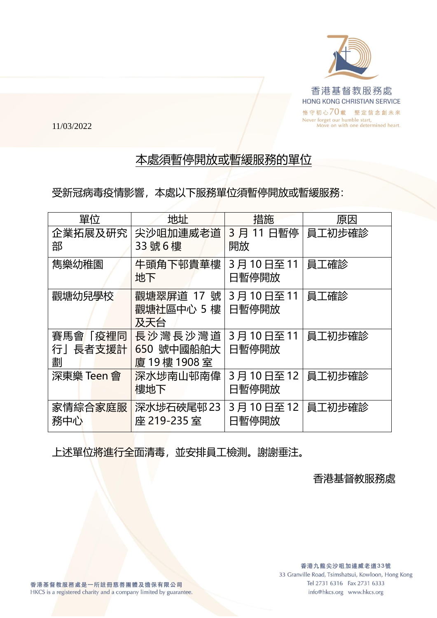

11/03/2022

## 本處須暫停開放或暫緩服務的單位

受新冠病毒疫情影響,本處以下服務單位須暫停開放或暫緩服務:

| 單位                              | 地址                                   | 措施                | 原因     |
|---------------------------------|--------------------------------------|-------------------|--------|
| 企業拓展及研究<br>部                    | 尖沙咀加連威老道<br>33號6樓                    | 3月11日暫停<br>開放     | 員工初步確診 |
| 雋樂幼稚園                           | 牛頭角下邨貴華樓<br>地下                       | 3月10日至11<br>日暫停開放 | 員工確診   |
| 觀塘幼兒學校                          | 觀塘翠屏道 17 號<br>觀塘社區中心 5 樓<br>及天台      | 3月10日至11<br>日暫停開放 | 員工確診   |
| <u> 賽馬會「疫裡同</u><br>行」長者支援計<br>劃 | 長沙灣長沙灣道<br>650 號中國船舶大<br>廈 19樓 1908室 | 3月10日至11<br>日暫停開放 | 員工初步確診 |
| 深東樂 Teen 會                      | 深水埗南山邨南偉<br>樓地下                      | 3月10日至12<br>日暫停開放 | 員工初步確診 |
| 家情綜合家庭服<br>務中心                  | 深水埗石硤尾邨 23<br>座 219-235室             | 3月10日至12<br>日暫停開放 | 員工初步確診 |

上述單位將進行全面清毒,並安排員工檢測。謝謝垂注。

香港基督教服務處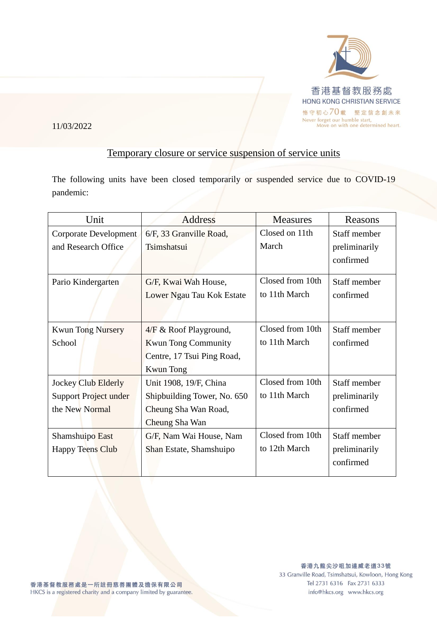

11/03/2022

## Temporary closure or service suspension of service units

The following units have been closed temporarily or suspended service due to COVID-19 pandemic:

| Unit                                                           | <b>Address</b>                                                                                         | <b>Measures</b>                   | Reasons                                    |
|----------------------------------------------------------------|--------------------------------------------------------------------------------------------------------|-----------------------------------|--------------------------------------------|
| <b>Corporate Development</b><br>and Research Office            | 6/F, 33 Granville Road,<br>Tsimshatsui                                                                 | Closed on 11th<br>March           | Staff member<br>preliminarily<br>confirmed |
| Pario Kindergarten                                             | G/F, Kwai Wah House,<br>Lower Ngau Tau Kok Estate                                                      | Closed from 10th<br>to 11th March | Staff member<br>confirmed                  |
| <b>Kwun Tong Nursery</b><br>School                             | 4/F & Roof Playground,<br><b>Kwun Tong Community</b><br>Centre, 17 Tsui Ping Road,<br><b>Kwun</b> Tong | Closed from 10th<br>to 11th March | Staff member<br>confirmed                  |
| Jockey Club Elderly<br>Support Project under<br>the New Normal | Unit 1908, 19/F, China<br>Shipbuilding Tower, No. 650<br>Cheung Sha Wan Road,<br>Cheung Sha Wan        | Closed from 10th<br>to 11th March | Staff member<br>preliminarily<br>confirmed |
| Shamshuipo East<br><b>Happy Teens Club</b>                     | G/F, Nam Wai House, Nam<br>Shan Estate, Shamshuipo                                                     | Closed from 10th<br>to 12th March | Staff member<br>preliminarily<br>confirmed |